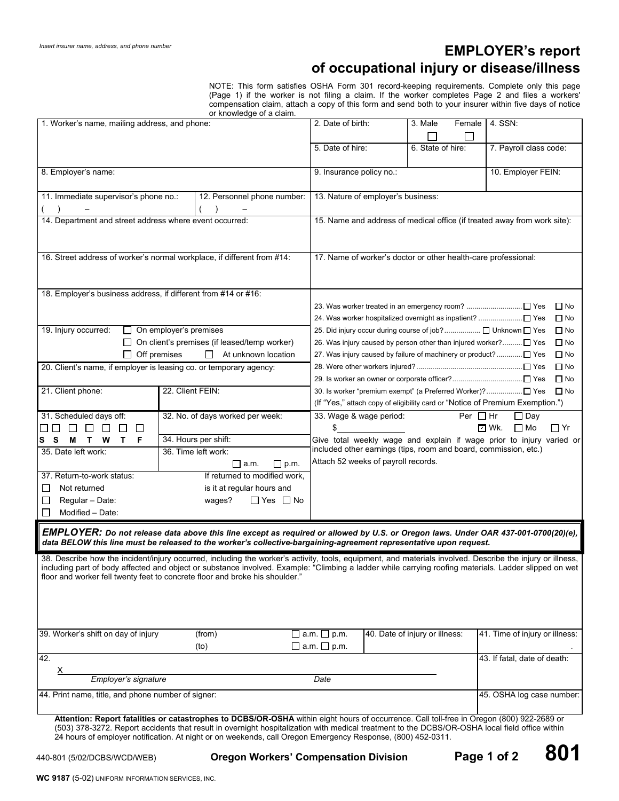# **EMPLOYER's report of occupational injury or disease/illness**

NOTE: This form satisfies OSHA Form 301 record-keeping requirements. Complete only this page (Page 1) if the worker is not filing a claim. If the worker completes Page 2 and files a workers' compensation claim, attach a copy of this form and send both to your insurer within five days of notice

|                                                                                                                                                                                                                                                                                                                                                                                                    |                     | or knowledge of a claim.                                                      |                                                    |                                                                                                                                          |                                |                                                                               |  |
|----------------------------------------------------------------------------------------------------------------------------------------------------------------------------------------------------------------------------------------------------------------------------------------------------------------------------------------------------------------------------------------------------|---------------------|-------------------------------------------------------------------------------|----------------------------------------------------|------------------------------------------------------------------------------------------------------------------------------------------|--------------------------------|-------------------------------------------------------------------------------|--|
| 1. Worker's name, mailing address, and phone:                                                                                                                                                                                                                                                                                                                                                      |                     |                                                                               | 2. Date of birth:                                  |                                                                                                                                          | 3. Male<br>Female              | 4. SSN:                                                                       |  |
|                                                                                                                                                                                                                                                                                                                                                                                                    |                     |                                                                               | 5. Date of hire:                                   |                                                                                                                                          | 6. State of hire:              | 7. Payroll class code:                                                        |  |
| 8. Employer's name:                                                                                                                                                                                                                                                                                                                                                                                |                     |                                                                               |                                                    | 10. Employer FEIN:<br>9. Insurance policy no.:                                                                                           |                                |                                                                               |  |
| 11. Immediate supervisor's phone no.:<br>12. Personnel phone number:                                                                                                                                                                                                                                                                                                                               |                     |                                                                               |                                                    | 13. Nature of employer's business:                                                                                                       |                                |                                                                               |  |
| 14. Department and street address where event occurred:                                                                                                                                                                                                                                                                                                                                            |                     |                                                                               |                                                    |                                                                                                                                          |                                |                                                                               |  |
|                                                                                                                                                                                                                                                                                                                                                                                                    |                     | 15. Name and address of medical office (if treated away from work site):      |                                                    |                                                                                                                                          |                                |                                                                               |  |
| 16. Street address of worker's normal workplace, if different from #14:                                                                                                                                                                                                                                                                                                                            |                     | 17. Name of worker's doctor or other health-care professional:                |                                                    |                                                                                                                                          |                                |                                                                               |  |
| 18. Employer's business address, if different from #14 or #16:                                                                                                                                                                                                                                                                                                                                     |                     |                                                                               |                                                    |                                                                                                                                          |                                |                                                                               |  |
|                                                                                                                                                                                                                                                                                                                                                                                                    |                     |                                                                               |                                                    | 23. Was worker treated in an emergency room? □ Yes<br>$\Box$ No                                                                          |                                |                                                                               |  |
|                                                                                                                                                                                                                                                                                                                                                                                                    |                     | $\Box$ No                                                                     |                                                    |                                                                                                                                          |                                |                                                                               |  |
| 19. Injury occurred:<br>$\Box$ On employer's premises                                                                                                                                                                                                                                                                                                                                              |                     | 25. Did injury occur during course of job? □ Unknown □ Yes<br>$\Box$ No       |                                                    |                                                                                                                                          |                                |                                                                               |  |
| $\Box$ On client's premises (if leased/temp worker)                                                                                                                                                                                                                                                                                                                                                |                     | 26. Was injury caused by person other than injured worker? [ Yes<br>$\Box$ No |                                                    |                                                                                                                                          |                                |                                                                               |  |
| $\Box$ Off premises                                                                                                                                                                                                                                                                                                                                                                                | At unknown location | $\Box$ No                                                                     |                                                    |                                                                                                                                          |                                |                                                                               |  |
| 20. Client's name, if employer is leasing co. or temporary agency:                                                                                                                                                                                                                                                                                                                                 |                     | $\Box$ No                                                                     |                                                    |                                                                                                                                          |                                |                                                                               |  |
|                                                                                                                                                                                                                                                                                                                                                                                                    |                     |                                                                               |                                                    | $\Box$ No                                                                                                                                |                                |                                                                               |  |
| 22. Client FEIN:<br>21. Client phone:                                                                                                                                                                                                                                                                                                                                                              |                     |                                                                               |                                                    | $\Box$ No                                                                                                                                |                                |                                                                               |  |
|                                                                                                                                                                                                                                                                                                                                                                                                    |                     |                                                                               |                                                    |                                                                                                                                          |                                | (If "Yes," attach copy of eligibility card or "Notice of Premium Exemption.") |  |
| 31. Scheduled days off:                                                                                                                                                                                                                                                                                                                                                                            |                     | 32. No. of days worked per week:                                              |                                                    | 33. Wage & wage period:                                                                                                                  |                                | Per $\Box$ Hr<br>$\Box$ Day                                                   |  |
| $\Box$ $\Box$<br>$\Box$<br>П<br>LI                                                                                                                                                                                                                                                                                                                                                                 |                     |                                                                               | \$                                                 |                                                                                                                                          |                                | ⊡ Wk.<br>$\Box$ Mo<br>$\Box$ Yr                                               |  |
| s s<br>M<br>T W<br>T.<br>F                                                                                                                                                                                                                                                                                                                                                                         |                     | 34. Hours per shift:                                                          |                                                    | Give total weekly wage and explain if wage prior to injury varied or<br>included other earnings (tips, room and board, commission, etc.) |                                |                                                                               |  |
| 35. Date left work:                                                                                                                                                                                                                                                                                                                                                                                |                     | 36. Time left work:                                                           |                                                    |                                                                                                                                          |                                |                                                                               |  |
|                                                                                                                                                                                                                                                                                                                                                                                                    |                     | $\Box$ a.m.<br>$\sqcup$ p.m.                                                  | Attach 52 weeks of payroll records.                |                                                                                                                                          |                                |                                                                               |  |
| If returned to modified work,<br>37. Return-to-work status:                                                                                                                                                                                                                                                                                                                                        |                     |                                                                               |                                                    |                                                                                                                                          |                                |                                                                               |  |
| Not returned<br>is it at regular hours and<br>⊔                                                                                                                                                                                                                                                                                                                                                    |                     |                                                                               |                                                    |                                                                                                                                          |                                |                                                                               |  |
| Regular - Date:<br>$\Box$ Yes $\Box$ No<br>wages?<br>ப                                                                                                                                                                                                                                                                                                                                             |                     |                                                                               |                                                    |                                                                                                                                          |                                |                                                                               |  |
| Modified - Date:<br>⊔                                                                                                                                                                                                                                                                                                                                                                              |                     |                                                                               |                                                    |                                                                                                                                          |                                |                                                                               |  |
| EMPLOYER: Do not release data above this line except as required or allowed by U.S. or Oregon laws. Under OAR 437-001-0700(20)(e),<br>data BELOW this line must be released to the worker's collective-bargaining-agreement representative upon request.                                                                                                                                           |                     |                                                                               |                                                    |                                                                                                                                          |                                |                                                                               |  |
| 38. Describe how the incident/injury occurred, including the worker's activity, tools, equipment, and materials involved. Describe the injury or illness,<br>including part of body affected and object or substance involved. Example: "Climbing a ladder while carrying roofing materials. Ladder slipped on wet<br>floor and worker fell twenty feet to concrete floor and broke his shoulder." |                     |                                                                               |                                                    |                                                                                                                                          |                                |                                                                               |  |
| 39. Worker's shift on day of injury                                                                                                                                                                                                                                                                                                                                                                |                     | (from)<br>(to)                                                                | $\Box$ a.m. $\Box$ p.m.<br>$\Box$ a.m. $\Box$ p.m. |                                                                                                                                          | 40. Date of injury or illness: | 41. Time of injury or illness:                                                |  |
| 42.                                                                                                                                                                                                                                                                                                                                                                                                |                     |                                                                               |                                                    |                                                                                                                                          |                                | 43. If fatal, date of death:                                                  |  |
| $\underline{X}$                                                                                                                                                                                                                                                                                                                                                                                    |                     |                                                                               |                                                    |                                                                                                                                          |                                |                                                                               |  |
| Employer's signature<br>Date                                                                                                                                                                                                                                                                                                                                                                       |                     |                                                                               |                                                    |                                                                                                                                          |                                |                                                                               |  |
| 44. Print name, title, and phone number of signer:                                                                                                                                                                                                                                                                                                                                                 |                     |                                                                               |                                                    |                                                                                                                                          |                                | 45. OSHA log case number:                                                     |  |
| Attention: Report fatalities or catastrophes to DCBS/OR-OSHA within eight hours of occurrence. Call toll-free in Oregon (800) 922-2689 or<br>(503) 378-3272. Report accidents that result in overnight hospitalization with medical treatment to the DCBS/OR-OSHA local field office within                                                                                                        |                     |                                                                               |                                                    |                                                                                                                                          |                                |                                                                               |  |

(503) 378-3272. Report accidents that result in overnight hospitalization with medical treatment to the DCBS/OR-OSHA local field office within 24 hours of employer notification. At night or on weekends, call Oregon Emergency Response, (800) 452-0311.

440-801 (5/02/DCBS/WCD/WEB) **Oregon Workers' Compensation Division Page 1 of 2 801**

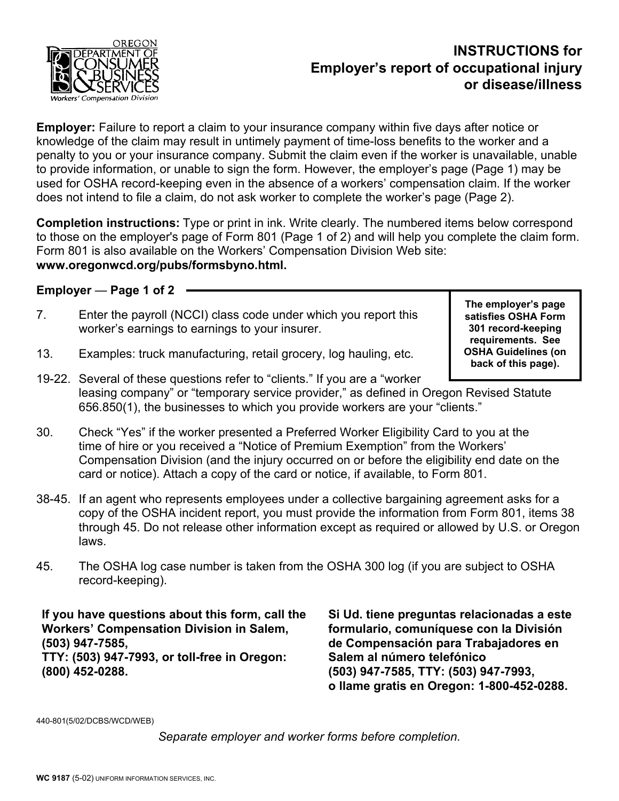

# **INSTRUCTIONS for Employer's report of occupational injury or disease/illness**

**Employer:** Failure to report a claim to your insurance company within five days after notice or knowledge of the claim may result in untimely payment of time-loss benefits to the worker and a penalty to you or your insurance company. Submit the claim even if the worker is unavailable, unable to provide information, or unable to sign the form. However, the employer's page (Page 1) may be used for OSHA record-keeping even in the absence of a workers' compensation claim. If the worker does not intend to file a claim, do not ask worker to complete the worker's page (Page 2).

**Completion instructions:** Type or print in ink. Write clearly. The numbered items below correspond to those on the employer's page of Form 801 (Page 1 of 2) and will help you complete the claim form. Form 801 is also available on the Workers' Compensation Division Web site: **www.oregonwcd.org/pubs/formsbyno.html.**

**Employer** — **Page 1 of 2** 

7. Enter the payroll (NCCI) class code under which you report this worker's earnings to earnings to your insurer.

**The employer's page satisfies OSHA Form 301 record-keeping requirements. See OSHA Guidelines (on back of this page).** 

- 13. Examples: truck manufacturing, retail grocery, log hauling, etc.
- 19-22. Several of these questions refer to "clients." If you are a "worker leasing company" or "temporary service provider," as defined in Oregon Revised Statute 656.850(1), the businesses to which you provide workers are your "clients."
- 30. Check "Yes" if the worker presented a Preferred Worker Eligibility Card to you at the time of hire or you received a "Notice of Premium Exemption" from the Workers' Compensation Division (and the injury occurred on or before the eligibility end date on the card or notice). Attach a copy of the card or notice, if available, to Form 801.
- 38-45. If an agent who represents employees under a collective bargaining agreement asks for a copy of the OSHA incident report, you must provide the information from Form 801, items 38 through 45. Do not release other information except as required or allowed by U.S. or Oregon laws.
- 45. The OSHA log case number is taken from the OSHA 300 log (if you are subject to OSHA record-keeping).

**If you have questions about this form, call the Workers' Compensation Division in Salem, (503) 947-7585, TTY: (503) 947-7993, or toll-free in Oregon: (800) 452-0288.** 

**Si Ud. tiene preguntas relacionadas a este formulario, comuníquese con la División de Compensación para Trabajadores en Salem al número telefónico (503) 947-7585, TTY: (503) 947-7993, o llame gratis en Oregon: 1-800-452-0288.** 

440-801(5/02/DCBS/WCD/WEB)

*Separate employer and worker forms before completion.*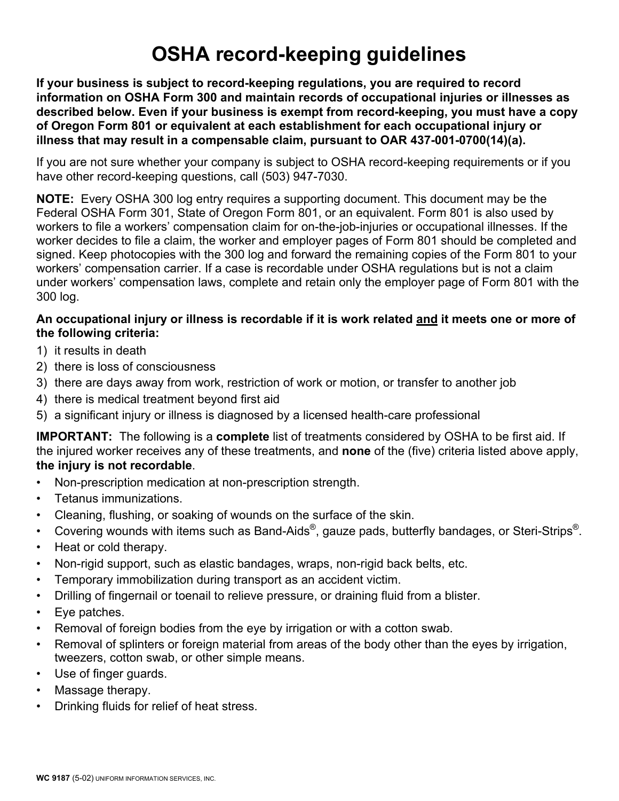# **OSHA record-keeping guidelines**

**If your business is subject to record-keeping regulations, you are required to record information on OSHA Form 300 and maintain records of occupational injuries or illnesses as described below. Even if your business is exempt from record-keeping, you must have a copy of Oregon Form 801 or equivalent at each establishment for each occupational injury or illness that may result in a compensable claim, pursuant to OAR 437-001-0700(14)(a).** 

If you are not sure whether your company is subject to OSHA record-keeping requirements or if you have other record-keeping questions, call (503) 947-7030.

**NOTE:** Every OSHA 300 log entry requires a supporting document. This document may be the Federal OSHA Form 301, State of Oregon Form 801, or an equivalent. Form 801 is also used by workers to file a workers' compensation claim for on-the-job-injuries or occupational illnesses. If the worker decides to file a claim, the worker and employer pages of Form 801 should be completed and signed. Keep photocopies with the 300 log and forward the remaining copies of the Form 801 to your workers' compensation carrier. If a case is recordable under OSHA regulations but is not a claim under workers' compensation laws, complete and retain only the employer page of Form 801 with the 300 log.

#### **An occupational injury or illness is recordable if it is work related and it meets one or more of the following criteria:**

- 1) it results in death
- 2) there is loss of consciousness
- 3) there are days away from work, restriction of work or motion, or transfer to another job
- 4) there is medical treatment beyond first aid
- 5) a significant injury or illness is diagnosed by a licensed health-care professional

**IMPORTANT:** The following is a **complete** list of treatments considered by OSHA to be first aid. If the injured worker receives any of these treatments, and **none** of the (five) criteria listed above apply, **the injury is not recordable**.

- Non-prescription medication at non-prescription strength.
- Tetanus immunizations.
- Cleaning, flushing, or soaking of wounds on the surface of the skin.
- Covering wounds with items such as Band-Aids<sup>®</sup>, gauze pads, butterfly bandages, or Steri-Strips<sup>®</sup>.
- Heat or cold therapy.
- Non-rigid support, such as elastic bandages, wraps, non-rigid back belts, etc.
- Temporary immobilization during transport as an accident victim.
- Drilling of fingernail or toenail to relieve pressure, or draining fluid from a blister.
- Eye patches.
- Removal of foreign bodies from the eye by irrigation or with a cotton swab.
- Removal of splinters or foreign material from areas of the body other than the eyes by irrigation, tweezers, cotton swab, or other simple means.
- Use of finger guards.
- Massage therapy.
- Drinking fluids for relief of heat stress.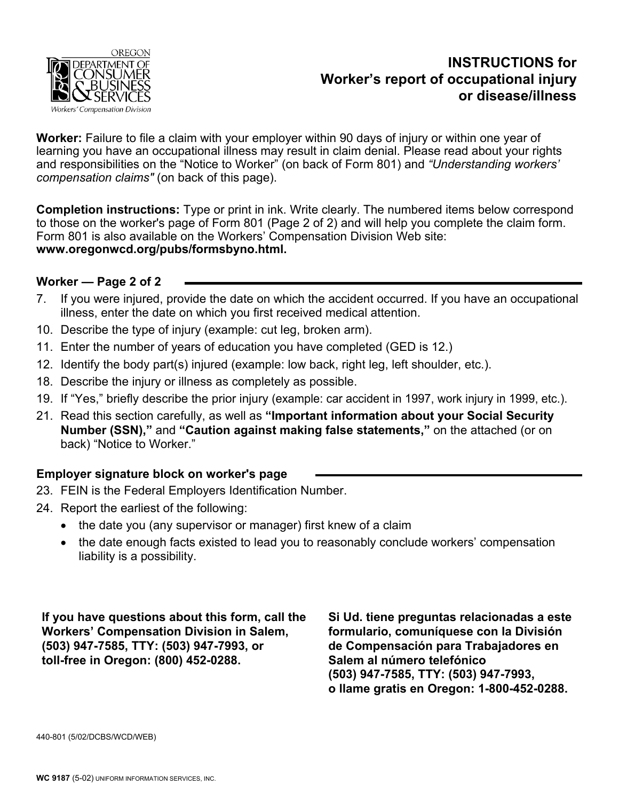

# **INSTRUCTIONS for Worker's report of occupational injury or disease/illness**

**Worker:** Failure to file a claim with your employer within 90 days of injury or within one year of learning you have an occupational illness may result in claim denial. Please read about your rights and responsibilities on the "Notice to Worker" (on back of Form 801) and *"Understanding workers' compensation claims"* (on back of this page).

**Completion instructions:** Type or print in ink. Write clearly. The numbered items below correspond to those on the worker's page of Form 801 (Page 2 of 2) and will help you complete the claim form. Form 801 is also available on the Workers' Compensation Division Web site: **www.oregonwcd.org/pubs/formsbyno.html.** 

#### **Worker — Page 2 of 2**

- 7. If you were injured, provide the date on which the accident occurred. If you have an occupational illness, enter the date on which you first received medical attention.
- 10. Describe the type of injury (example: cut leg, broken arm).
- 11. Enter the number of years of education you have completed (GED is 12.)
- 12. Identify the body part(s) injured (example: low back, right leg, left shoulder, etc.).
- 18. Describe the injury or illness as completely as possible.
- 19. If "Yes," briefly describe the prior injury (example: car accident in 1997, work injury in 1999, etc.).
- 21. Read this section carefully, as well as **"Important information about your Social Security Number (SSN),"** and **"Caution against making false statements,"** on the attached (or on back) "Notice to Worker."

#### **Employer signature block on worker's page**

- 23. FEIN is the Federal Employers Identification Number.
- 24. Report the earliest of the following:
	- the date you (any supervisor or manager) first knew of a claim
	- the date enough facts existed to lead you to reasonably conclude workers' compensation liability is a possibility.

**If you have questions about this form, call the Workers' Compensation Division in Salem, (503) 947-7585, TTY: (503) 947-7993, or toll-free in Oregon: (800) 452-0288.**

**Si Ud. tiene preguntas relacionadas a este formulario, comuníquese con la División de Compensación para Trabajadores en Salem al número telefónico (503) 947-7585, TTY: (503) 947-7993, o llame gratis en Oregon: 1-800-452-0288.**

440-801 (5/02/DCBS/WCD/WEB)